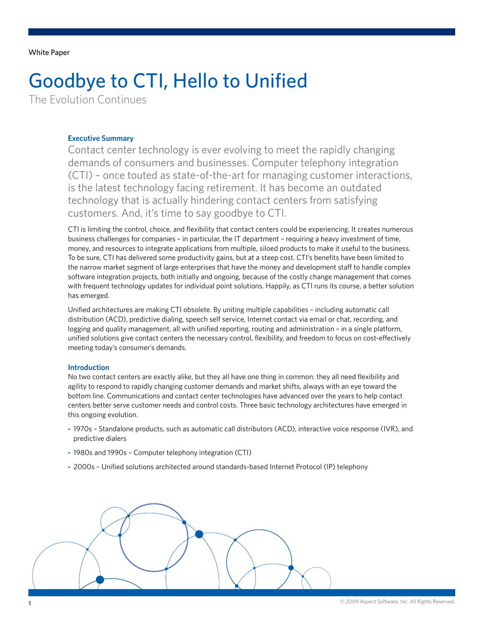<span id="page-0-0"></span>White Paper

# Goodbye to CTI, Hello to Unified

The Evolution Continues

## **Executive Summary**

Contact center technology is ever evolving to meet the rapidly changing demands of consumers and businesses. Computer telephony integration (CTI) – once touted as state-of-the-art for managing customer interactions, is the latest technology facing retirement. It has become an outdated technology that is actually hindering contact centers from satisfying customers. And, it's time to say goodbye to CTI.

CTI is limiting the control, choice, and flexibility that contact centers could be experiencing. It creates numerous business challenges for companies – in particular, the IT department – requiring a heavy investment of time, money, and resources to integrate applications from multiple, siloed products to make it useful to the business. To be sure, CTI has delivered some productivity gains, but at a steep cost. CTI's benefits have been limited to the narrow market segment of large enterprises that have the money and development staff to handle complex software integration projects, both initially and ongoing, because of the costly change management that comes with frequent technology updates for individual point solutions. Happily, as CTI runs its course, a better solution has emerged.

Unified architectures are making CTI obsolete. By uniting multiple capabilities – including automatic call distribution (ACD), predictive dialing, speech self service, Internet contact via email or chat, recording, and logging and quality management, all with unified reporting, routing and administration – in a single platform, unified solutions give contact centers the necessary control, flexibility, and freedom to focus on cost-effectively meeting today's consumer's demands.

### **Introduction**

No two contact centers are exactly alike, but they all have one thing in common: they all need flexibility and agility to respond to rapidly changing customer demands and market shifts, always with an eye toward the bottom line. Communications and contact center technologies have advanced over the years to help contact centers better serve customer needs and control costs. Three basic technology architectures have emerged in this ongoing evolution.

- **-** 1970s Standalone products, such as automatic call distributors (ACD), interactive voice response (IVR), and predictive dialers
- **-** 1980s and 1990s Computer telephony integration (CTI)
- **-** 2000s Unified solutions architected around standards-based Internet Protocol (IP) telephony

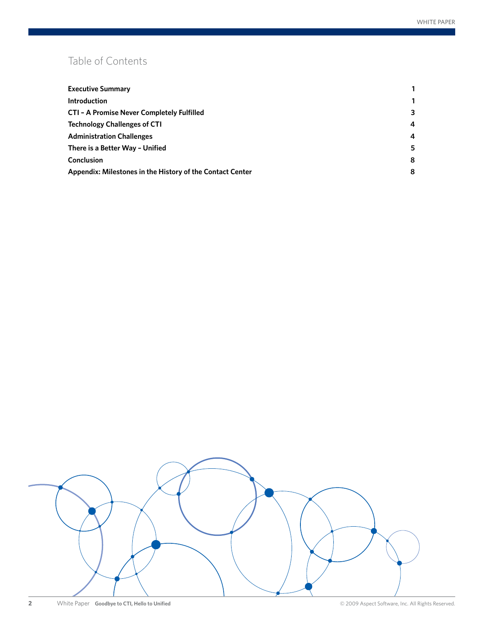# Table of Contents

| <b>Executive Summary</b>                                  |   |
|-----------------------------------------------------------|---|
| <b>Introduction</b>                                       |   |
| CTI - A Promise Never Completely Fulfilled                | 3 |
| <b>Technology Challenges of CTI</b>                       | 4 |
| <b>Administration Challenges</b>                          | 4 |
| There is a Better Way - Unified                           | 5 |
| <b>Conclusion</b>                                         | 8 |
| Appendix: Milestones in the History of the Contact Center | 8 |

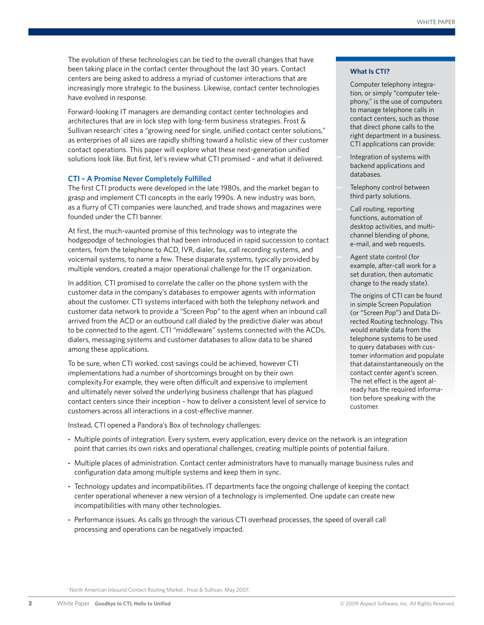<span id="page-2-0"></span>The evolution of these technologies can be tied to the overall changes that have been taking place in the contact center throughout the last 30 years. Contact centers are being asked to address a myriad of customer interactions that are increasingly more strategic to the business. Likewise, contact center technologies have evolved in response.

Forward-looking IT managers are demanding contact center technologies and architectures that are in lock step with long-term business strategies. Frost & Sullivan research<sup>1</sup> cites a "growing need for single, unified contact center solutions," as enterprises of all sizes are rapidly shifting toward a holistic view of their customer contact operations. This paper will explore what these next-generation unified solutions look like. But first, let's review what CTI promised – and what it delivered.

#### **CTI – A Promise Never Completely Fulfilled**

The first CTI products were developed in the late 1980s, and the market began to grasp and implement CTI concepts in the early 1990s. A new industry was born, as a flurry of CTI companies were launched, and trade shows and magazines were founded under the CTI banner.

At first, the much-vaunted promise of this technology was to integrate the hodgepodge of technologies that had been introduced in rapid succession to contact centers, from the telephone to ACD, IVR, dialer, fax, call recording systems, and voicemail systems, to name a few. These disparate systems, typically provided by multiple vendors, created a major operational challenge for the IT organization.

In addition, CTI promised to correlate the caller on the phone system with the customer data in the company's databases to empower agents with information about the customer. CTI systems interfaced with both the telephony network and customer data network to provide a "Screen Pop" to the agent when an inbound call arrived from the ACD or an outbound call dialed by the predictive dialer was about to be connected to the agent. CTI "middleware" systems connected with the ACDs, dialers, messaging systems and customer databases to allow data to be shared among these applications.

To be sure, when CTI worked, cost savings could be achieved, however CTI implementations had a number of shortcomings brought on by their own complexity.For example, they were often difficult and expensive to implement and ultimately never solved the underlying business challenge that has plagued contact centers since their inception – how to deliver a consistent level of service to customers across all interactions in a cost-effective manner.

Instead, CTI opened a Pandora's Box of technology challenges:

- **-** Multiple points of integration. Every system, every application, every device on the network is an integration point that carries its own risks and operational challenges, creating multiple points of potential failure.
- **-** Multiple places of administration. Contact center administrators have to manually manage business rules and configuration data among multiple systems and keep them in sync.
- **-** Technology updates and incompatibilities. IT departments face the ongoing challenge of keeping the contact center operational whenever a new version of a technology is implemented. One update can create new incompatibilities with many other technologies.
- **-** Performance issues. As calls go through the various CTI overhead processes, the speed of overall call processing and operations can be negatively impacted.

#### **What Is CTI?**

Computer telephony integration, or simply "computer telephony," is the use of computers to manage telephone calls in contact centers, such as those that direct phone calls to the right department in a business. CTI applications can provide:

- **—** Integration of systems with backend applications and databases.
- **—** Telephony control between third party solutions.
- **—** Call routing, reporting functions, automation of desktop activities, and multichannel blending of phone, e-mail, and web requests.
- **—** Agent state control (for example, after-call work for a set duration, then automatic change to the ready state).

The origins of CTI can be found in simple Screen Population (or "Screen Pop") and Data Directed Routing technology. This would enable data from the telephone systems to be used to query databases with customer information and populate that datainstantaneously on the contact center agent's screen. The net effect is the agent already has the required information before speaking with the customer.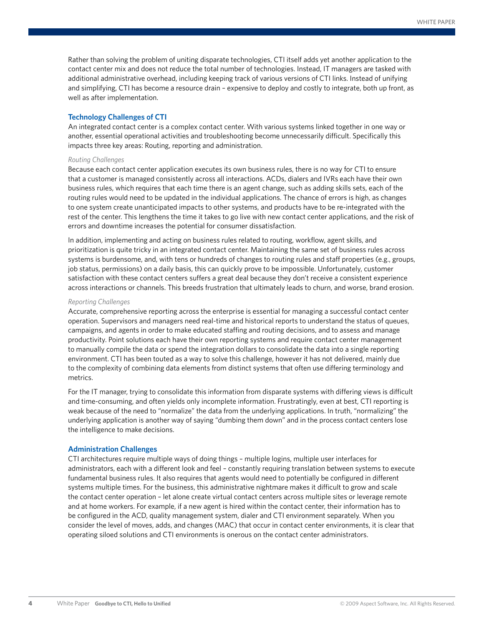<span id="page-3-0"></span>Rather than solving the problem of uniting disparate technologies, CTI itself adds yet another application to the contact center mix and does not reduce the total number of technologies. Instead, IT managers are tasked with additional administrative overhead, including keeping track of various versions of CTI links. Instead of unifying and simplifying, CTI has become a resource drain – expensive to deploy and costly to integrate, both up front, as well as after implementation.

#### **Technology Challenges of CTI**

An integrated contact center is a complex contact center. With various systems linked together in one way or another, essential operational activities and troubleshooting become unnecessarily difficult. Specifically this impacts three key areas: Routing, reporting and administration.

#### *Routing Challenges*

Because each contact center application executes its own business rules, there is no way for CTI to ensure that a customer is managed consistently across all interactions. ACDs, dialers and IVRs each have their own business rules, which requires that each time there is an agent change, such as adding skills sets, each of the routing rules would need to be updated in the individual applications. The chance of errors is high, as changes to one system create unanticipated impacts to other systems, and products have to be re-integrated with the rest of the center. This lengthens the time it takes to go live with new contact center applications, and the risk of errors and downtime increases the potential for consumer dissatisfaction.

In addition, implementing and acting on business rules related to routing, workflow, agent skills, and prioritization is quite tricky in an integrated contact center. Maintaining the same set of business rules across systems is burdensome, and, with tens or hundreds of changes to routing rules and staff properties (e.g., groups, job status, permissions) on a daily basis, this can quickly prove to be impossible. Unfortunately, customer satisfaction with these contact centers suffers a great deal because they don't receive a consistent experience across interactions or channels. This breeds frustration that ultimately leads to churn, and worse, brand erosion.

#### *Reporting Challenges*

Accurate, comprehensive reporting across the enterprise is essential for managing a successful contact center operation. Supervisors and managers need real-time and historical reports to understand the status of queues, campaigns, and agents in order to make educated staffing and routing decisions, and to assess and manage productivity. Point solutions each have their own reporting systems and require contact center management to manually compile the data or spend the integration dollars to consolidate the data into a single reporting environment. CTI has been touted as a way to solve this challenge, however it has not delivered, mainly due to the complexity of combining data elements from distinct systems that often use differing terminology and metrics.

For the IT manager, trying to consolidate this information from disparate systems with differing views is difficult and time-consuming, and often yields only incomplete information. Frustratingly, even at best, CTI reporting is weak because of the need to "normalize" the data from the underlying applications. In truth, "normalizing" the underlying application is another way of saying "dumbing them down" and in the process contact centers lose the intelligence to make decisions.

#### **Administration Challenges**

CTI architectures require multiple ways of doing things – multiple logins, multiple user interfaces for administrators, each with a different look and feel – constantly requiring translation between systems to execute fundamental business rules. It also requires that agents would need to potentially be configured in different systems multiple times. For the business, this administrative nightmare makes it difficult to grow and scale the contact center operation – let alone create virtual contact centers across multiple sites or leverage remote and at home workers. For example, if a new agent is hired within the contact center, their information has to be configured in the ACD, quality management system, dialer and CTI environment separately. When you consider the level of moves, adds, and changes (MAC) that occur in contact center environments, it is clear that operating siloed solutions and CTI environments is onerous on the contact center administrators.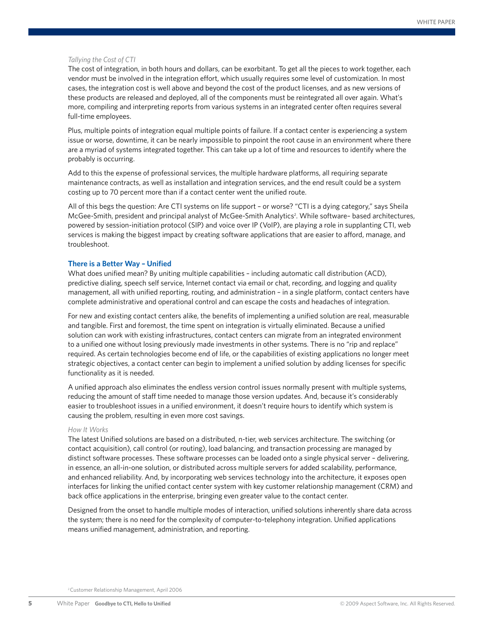#### <span id="page-4-0"></span>*Tallying the Cost of CTI*

The cost of integration, in both hours and dollars, can be exorbitant. To get all the pieces to work together, each vendor must be involved in the integration effort, which usually requires some level of customization. In most cases, the integration cost is well above and beyond the cost of the product licenses, and as new versions of these products are released and deployed, all of the components must be reintegrated all over again. What's more, compiling and interpreting reports from various systems in an integrated center often requires several full-time employees.

Plus, multiple points of integration equal multiple points of failure. If a contact center is experiencing a system issue or worse, downtime, it can be nearly impossible to pinpoint the root cause in an environment where there are a myriad of systems integrated together. This can take up a lot of time and resources to identify where the probably is occurring.

Add to this the expense of professional services, the multiple hardware platforms, all requiring separate maintenance contracts, as well as installation and integration services, and the end result could be a system costing up to 70 percent more than if a contact center went the unified route.

All of this begs the question: Are CTI systems on life support – or worse? "CTI is a dying category," says Sheila McGee-Smith, president and principal analyst of McGee-Smith Analytics<sup>2</sup>. While software- based architectures, powered by session-initiation protocol (SIP) and voice over IP (VoIP), are playing a role in supplanting CTI, web services is making the biggest impact by creating software applications that are easier to afford, manage, and troubleshoot.

#### **There is a Better Way – Unified**

What does unified mean? By uniting multiple capabilities – including automatic call distribution (ACD), predictive dialing, speech self service, Internet contact via email or chat, recording, and logging and quality management, all with unified reporting, routing, and administration – in a single platform, contact centers have complete administrative and operational control and can escape the costs and headaches of integration.

For new and existing contact centers alike, the benefits of implementing a unified solution are real, measurable and tangible. First and foremost, the time spent on integration is virtually eliminated. Because a unified solution can work with existing infrastructures, contact centers can migrate from an integrated environment to a unified one without losing previously made investments in other systems. There is no "rip and replace" required. As certain technologies become end of life, or the capabilities of existing applications no longer meet strategic objectives, a contact center can begin to implement a unified solution by adding licenses for specific functionality as it is needed.

A unified approach also eliminates the endless version control issues normally present with multiple systems, reducing the amount of staff time needed to manage those version updates. And, because it's considerably easier to troubleshoot issues in a unified environment, it doesn't require hours to identify which system is causing the problem, resulting in even more cost savings.

#### *How It Works*

The latest Unified solutions are based on a distributed, n-tier, web services architecture. The switching (or contact acquisition), call control (or routing), load balancing, and transaction processing are managed by distinct software processes. These software processes can be loaded onto a single physical server – delivering, in essence, an all-in-one solution, or distributed across multiple servers for added scalability, performance, and enhanced reliability. And, by incorporating web services technology into the architecture, it exposes open interfaces for linking the unified contact center system with key customer relationship management (CRM) and back office applications in the enterprise, bringing even greater value to the contact center.

Designed from the onset to handle multiple modes of interaction, unified solutions inherently share data across the system; there is no need for the complexity of computer-to-telephony integration. Unified applications means unified management, administration, and reporting.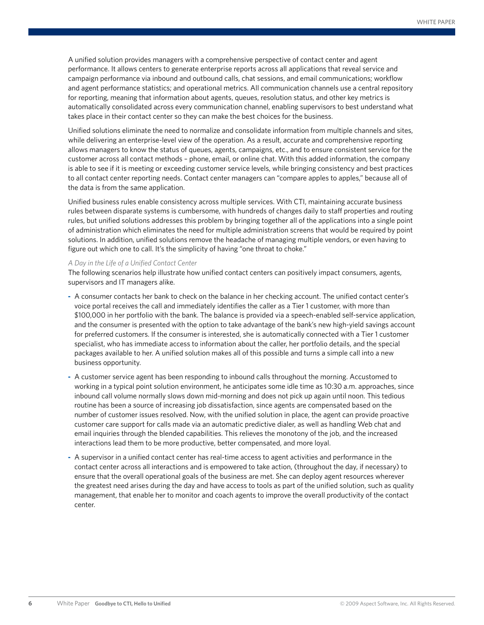A unified solution provides managers with a comprehensive perspective of contact center and agent performance. It allows centers to generate enterprise reports across all applications that reveal service and campaign performance via inbound and outbound calls, chat sessions, and email communications; workflow and agent performance statistics; and operational metrics. All communication channels use a central repository for reporting, meaning that information about agents, queues, resolution status, and other key metrics is automatically consolidated across every communication channel, enabling supervisors to best understand what takes place in their contact center so they can make the best choices for the business.

Unified solutions eliminate the need to normalize and consolidate information from multiple channels and sites, while delivering an enterprise-level view of the operation. As a result, accurate and comprehensive reporting allows managers to know the status of queues, agents, campaigns, etc., and to ensure consistent service for the customer across all contact methods – phone, email, or online chat. With this added information, the company is able to see if it is meeting or exceeding customer service levels, while bringing consistency and best practices to all contact center reporting needs. Contact center managers can "compare apples to apples," because all of the data is from the same application.

Unified business rules enable consistency across multiple services. With CTI, maintaining accurate business rules between disparate systems is cumbersome, with hundreds of changes daily to staff properties and routing rules, but unified solutions addresses this problem by bringing together all of the applications into a single point of administration which eliminates the need for multiple administration screens that would be required by point solutions. In addition, unified solutions remove the headache of managing multiple vendors, or even having to figure out which one to call. It's the simplicity of having "one throat to choke."

#### *A Day in the Life of a Unified Contact Center*

The following scenarios help illustrate how unified contact centers can positively impact consumers, agents, supervisors and IT managers alike.

- **-** A consumer contacts her bank to check on the balance in her checking account. The unified contact center's voice portal receives the call and immediately identifies the caller as a Tier 1 customer, with more than \$100,000 in her portfolio with the bank. The balance is provided via a speech-enabled self-service application, and the consumer is presented with the option to take advantage of the bank's new high-yield savings account for preferred customers. If the consumer is interested, she is automatically connected with a Tier 1 customer specialist, who has immediate access to information about the caller, her portfolio details, and the special packages available to her. A unified solution makes all of this possible and turns a simple call into a new business opportunity.
- **-** A customer service agent has been responding to inbound calls throughout the morning. Accustomed to working in a typical point solution environment, he anticipates some idle time as 10:30 a.m. approaches, since inbound call volume normally slows down mid-morning and does not pick up again until noon. This tedious routine has been a source of increasing job dissatisfaction, since agents are compensated based on the number of customer issues resolved. Now, with the unified solution in place, the agent can provide proactive customer care support for calls made via an automatic predictive dialer, as well as handling Web chat and email inquiries through the blended capabilities. This relieves the monotony of the job, and the increased interactions lead them to be more productive, better compensated, and more loyal.
- **-** A supervisor in a unified contact center has real-time access to agent activities and performance in the contact center across all interactions and is empowered to take action, (throughout the day, if necessary) to ensure that the overall operational goals of the business are met. She can deploy agent resources wherever the greatest need arises during the day and have access to tools as part of the unified solution, such as quality management, that enable her to monitor and coach agents to improve the overall productivity of the contact center.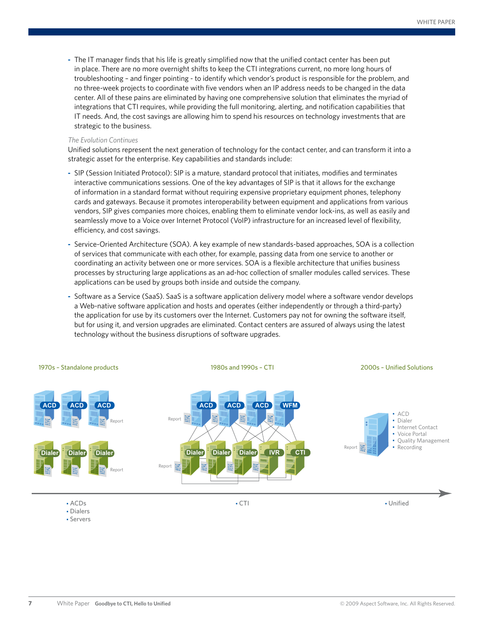**-** The IT manager finds that his life is greatly simplified now that the unified contact center has been put in place. There are no more overnight shifts to keep the CTI integrations current, no more long hours of troubleshooting – and finger pointing - to identify which vendor's product is responsible for the problem, and no three-week projects to coordinate with five vendors when an IP address needs to be changed in the data center. All of these pains are eliminated by having one comprehensive solution that eliminates the myriad of integrations that CTI requires, while providing the full monitoring, alerting, and notification capabilities that IT needs. And, the cost savings are allowing him to spend his resources on technology investments that are strategic to the business.

#### *The Evolution Continues*

Unified solutions represent the next generation of technology for the contact center, and can transform it into a strategic asset for the enterprise. Key capabilities and standards include:

- **-** SIP (Session Initiated Protocol): SIP is a mature, standard protocol that initiates, modifies and terminates interactive communications sessions. One of the key advantages of SIP is that it allows for the exchange of information in a standard format without requiring expensive proprietary equipment phones, telephony cards and gateways. Because it promotes interoperability between equipment and applications from various vendors, SIP gives companies more choices, enabling them to eliminate vendor lock-ins, as well as easily and seamlessly move to a Voice over Internet Protocol (VoIP) infrastructure for an increased level of flexibility, efficiency, and cost savings.
- **-** Service-Oriented Architecture (SOA). A key example of new standards-based approaches, SOA is a collection of services that communicate with each other, for example, passing data from one service to another or coordinating an activity between one or more services. SOA is a flexible architecture that unifies business processes by structuring large applications as an ad-hoc collection of smaller modules called services. These applications can be used by groups both inside and outside the company.
- **-** Software as a Service (SaaS). SaaS is a software application delivery model where a software vendor develops a Web-native software application and hosts and operates (either independently or through a third-party) the application for use by its customers over the Internet. Customers pay not for owning the software itself, but for using it, and version upgrades are eliminated. Contact centers are assured of always using the latest technology without the business disruptions of software upgrades.



• Servers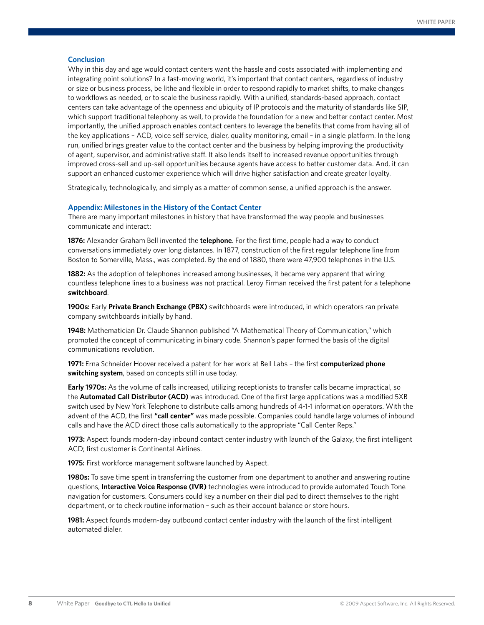#### <span id="page-7-0"></span>**Conclusion**

Why in this day and age would contact centers want the hassle and costs associated with implementing and integrating point solutions? In a fast-moving world, it's important that contact centers, regardless of industry or size or business process, be lithe and flexible in order to respond rapidly to market shifts, to make changes to workflows as needed, or to scale the business rapidly. With a unified, standards-based approach, contact centers can take advantage of the openness and ubiquity of IP protocols and the maturity of standards like SIP, which support traditional telephony as well, to provide the foundation for a new and better contact center. Most importantly, the unified approach enables contact centers to leverage the benefits that come from having all of the key applications – ACD, voice self service, dialer, quality monitoring, email – in a single platform. In the long run, unified brings greater value to the contact center and the business by helping improving the productivity of agent, supervisor, and administrative staff. It also lends itself to increased revenue opportunities through improved cross-sell and up-sell opportunities because agents have access to better customer data. And, it can support an enhanced customer experience which will drive higher satisfaction and create greater loyalty.

Strategically, technologically, and simply as a matter of common sense, a unified approach is the answer.

#### **Appendix: Milestones in the History of the Contact Center**

There are many important milestones in history that have transformed the way people and businesses communicate and interact:

**1876:** Alexander Graham Bell invented the **telephone**. For the first time, people had a way to conduct conversations immediately over long distances. In 1877, construction of the first regular telephone line from Boston to Somerville, Mass., was completed. By the end of 1880, there were 47,900 telephones in the U.S.

**1882:** As the adoption of telephones increased among businesses, it became very apparent that wiring countless telephone lines to a business was not practical. Leroy Firman received the first patent for a telephone **switchboard**.

**1900s:** Early **Private Branch Exchange (PBX)** switchboards were introduced, in which operators ran private company switchboards initially by hand.

**1948:** Mathematician Dr. Claude Shannon published "A Mathematical Theory of Communication," which promoted the concept of communicating in binary code. Shannon's paper formed the basis of the digital communications revolution.

**1971:** Erna Schneider Hoover received a patent for her work at Bell Labs – the first **computerized phone switching system**, based on concepts still in use today.

**Early 1970s:** As the volume of calls increased, utilizing receptionists to transfer calls became impractical, so the **Automated Call Distributor (ACD)** was introduced. One of the first large applications was a modified 5XB switch used by New York Telephone to distribute calls among hundreds of 4-1-1 information operators. With the advent of the ACD, the first **"call center"** was made possible. Companies could handle large volumes of inbound calls and have the ACD direct those calls automatically to the appropriate "Call Center Reps."

**1973:** Aspect founds modern-day inbound contact center industry with launch of the Galaxy, the first intelligent ACD; first customer is Continental Airlines.

**1975:** First workforce management software launched by Aspect.

**1980s:** To save time spent in transferring the customer from one department to another and answering routine questions, **Interactive Voice Response (IVR)** technologies were introduced to provide automated Touch Tone navigation for customers. Consumers could key a number on their dial pad to direct themselves to the right department, or to check routine information – such as their account balance or store hours.

**1981:** Aspect founds modern-day outbound contact center industry with the launch of the first intelligent automated dialer.